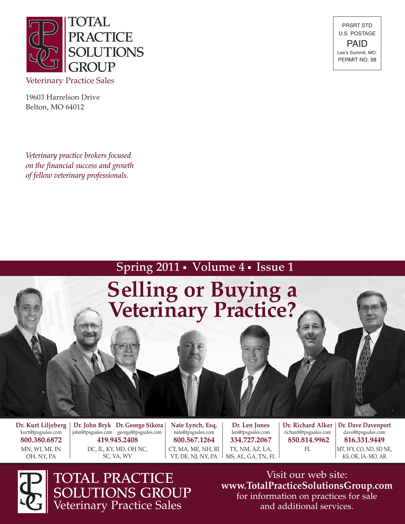

19603 Harrelson Drive Belton, MO 64012

*Veterinary practice brokers focused on the financial success and growth of fellow veterinary professionals.*

PRSRT STD U.S. POSTAGE PAID Lee's Summit, MO. PERMIT NO. 98

### Spring 2011 • Volume 4 • Issue 1



OH, NY, PA

DC, IL, KY, MD, OH NC, SC, VA, WV

VT, DE, NJ, NY, PA

TX, NM, AZ, LA, MS, AL, GA, TN, FL MT, WY, CO, ND, SD NE, KS, OK, IA, MO, AR



TOTAL PRACTICE SOLUTIONS GROUP Veterinary Practice Sales

Visit our web site: **www.TotalPracticeSolutionsGroup.com** for information on practices for sale and additional services.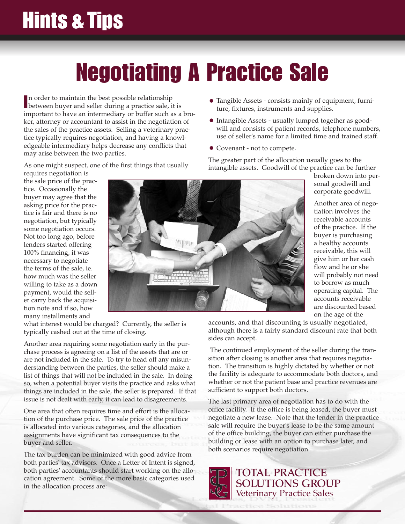## **Hints & Tips**

# **Negotiating A Practice Sale**

In order to maintain the best possible relationship<br>between buyer and seller during a practice sale, it is n order to maintain the best possible relationship important to have an intermediary or buffer such as a broker, attorney or accountant to assist in the negotiation of the sales of the practice assets. Selling a veterinary practice typically requires negotiation, and having a knowledgeable intermediary helps decrease any conflicts that may arise between the two parties.

As one might suspect, one of the first things that usually

- Tangible Assets consists mainly of equipment, furniture, fixtures, instruments and supplies.
- Intangible Assets usually lumped together as goodwill and consists of patient records, telephone numbers, use of seller's name for a limited time and trained staff.
- Covenant not to compete.

The greater part of the allocation usually goes to the intangible assets. Goodwill of the practice can be further

requires negotiation is the sale price of the practice. Occasionally the buyer may agree that the asking price for the practice is fair and there is no negotiation, but typically some negotiation occurs. Not too long ago, before lenders started offering 100% financing, it was necessary to negotiate the terms of the sale, ie. how much was the seller willing to take as a down payment, would the seller carry back the acquisition note and if so, how many installments and



what interest would be charged? Currently, the seller is typically cashed out at the time of closing.

Another area requiring some negotiation early in the purchase process is agreeing on a list of the assets that are or are not included in the sale. To try to head off any misunderstanding between the parties, the seller should make a list of things that will not be included in the sale. In doing so, when a potential buyer visits the practice and asks what things are included in the sale, the seller is prepared. If that issue is not dealt with early, it can lead to disagreements.

One area that often requires time and effort is the allocation of the purchase price. The sale price of the practice is allocated into various categories, and the allocation assignments have significant tax consequences to the buyer and seller.

The tax burden can be minimized with good advice from both parties' tax advisors. Once a Letter of Intent is signed, both parties' accountants should start working on the allocation agreement. Some of the more basic categories used in the allocation process are:

broken down into personal goodwill and corporate goodwill.

Another area of negotiation involves the receivable accounts of the practice. If the buyer is purchasing a healthy accounts receivable, this will give him or her cash flow and he or she will probably not need to borrow as much operating capital. The accounts receivable are discounted based on the age of the

accounts, and that discounting is usually negotiated, although there is a fairly standard discount rate that both sides can accept.

The continued employment of the seller during the transition after closing is another area that requires negotiation. The transition is highly dictated by whether or not the facility is adequate to accommodate both doctors, and whether or not the patient base and practice revenues are sufficient to support both doctors.

The last primary area of negotiation has to do with the office facility. If the office is being leased, the buyer must negotiate a new lease. Note that the lender in the practice sale will require the buyer's lease to be the same amount of the office building, the buyer can either purchase the building or lease with an option to purchase later, and both scenarios require negotiation.



TOTAL PRACTICE SOLUTIONS GROUP Veterinary Practice Sales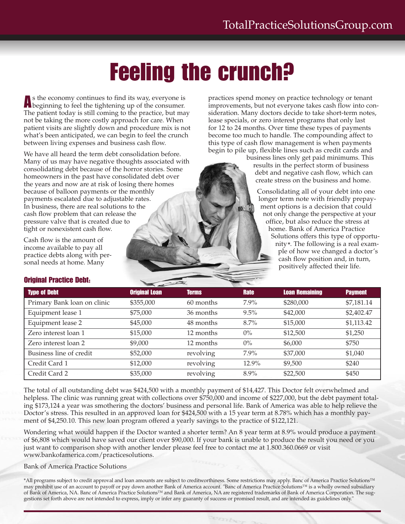### **Feeling the crunch?**

**A**<sup>s</sup> the economy continues to find its way, everyone is beginning to feel the tightening up of the consumer. The patient today is still coming to the practice, but may not be taking the more costly approach for care. When patient visits are slightly down and procedure mix is not what's been anticipated, we can begin to feel the crunch between living expenses and business cash flow.

We have all heard the term debt consolidation before. Many of us may have negative thoughts associated with consolidating debt because of the horror stories. Some homeowners in the past have consolidated debt over the years and now are at risk of losing there homes because of balloon payments or the monthly payments escalated due to adjustable rates. In business, there are real solutions to the cash flow problem that can release the pressure valve that is created due to tight or nonexistent cash flow.

Cash flow is the amount of income available to pay all practice debts along with personal needs at home. Many

practices spend money on practice technology or tenant improvements, but not everyone takes cash flow into consideration. Many doctors decide to take short-term notes, lease specials, or zero interest programs that only last for 12 to 24 months. Over time these types of payments become too much to handle. The compounding affect to this type of cash flow management is when payments begin to pile up, flexible lines such as credit cards and

business lines only get paid minimums. This results in the perfect storm of business debt and negative cash flow, which can create stress on the business and home.

Consolidating all of your debt into one longer term note with friendly prepayment options is a decision that could not only change the perspective at your office, but also reduce the stress at home. Bank of America Practice Solutions offers this type of opportunity\*. The following is a real example of how we changed a doctor's cash flow position and, in turn, positively affected their life.

#### **Original Practice Debt:**

| <b>Type of Debt</b>         | <b>Original Loan</b> | <b>Terms</b> | <b>Rate</b> | <b>Loan Remaining</b> | <b>Payment</b> |
|-----------------------------|----------------------|--------------|-------------|-----------------------|----------------|
| Primary Bank loan on clinic | \$355,000            | 60 months    | $7.9\%$     | \$280,000             | \$7,181.14     |
| Equipment lease 1           | \$75,000             | 36 months    | 9.5%        | \$42,000              | \$2,402.47     |
| Equipment lease 2           | \$45,000             | 48 months    | $8.7\%$     | \$15,000              | \$1,113.42     |
| Zero interest loan 1        | \$15,000             | 12 months    | $0\%$       | \$12,500              | \$1,250        |
| Zero interest loan 2        | \$9,000              | 12 months    | $0\%$       | \$6,000               | \$750          |
| Business line of credit     | \$52,000             | revolving    | $7.9\%$     | \$37,000              | \$1,040        |
| Credit Card 1               | \$12,000             | revolving    | 12.9%       | \$9,500               | \$240          |
| Credit Card 2               | \$35,000             | revolving    | $8.9\%$     | \$22,500              | \$450          |

The total of all outstanding debt was \$424,500 with a monthly payment of \$14,427. This Doctor felt overwhelmed and helpless. The clinic was running great with collections over \$750,000 and income of \$227,000, but the debt payment totaling \$173,124 a year was smothering the doctors' business and personal life. Bank of America was able to help relieve the Doctor's stress. This resulted in an approved loan for \$424,500 with a 15 year term at 8.78% which has a monthly payment of \$4,250.10. This new loan program offered a yearly savings to the practice of \$122,121.

Wondering what would happen if the Doctor wanted a shorter term? An 8 year term at 8.9% would produce a payment of \$6,808 which would have saved our client over \$90,000. If your bank is unable to produce the result you need or you just want to comparison shop with another lender please feel free to contact me at 1.800.360.0669 or visit www.bankofamerica.com/practicesolutions.

#### Bank of America Practice Solutions

\*All programs subject to credit approval and loan amounts are subject to creditworthiness. Some restrictions may apply. Banc of America Practice Solutions™ may prohibit use of an account to payoff or pay down another Bank of America account. "Banc of America Practice Solutions™ is a wholly owned subsidiary of Bank of America, NA. Banc of America Practice Solutions™ and Bank of America, NA are registered trademarks of Bank of America Corporation. The suggestions set forth above are not intended to express, imply or infer any guaranty of success or promised result, and are intended as guidelines only."